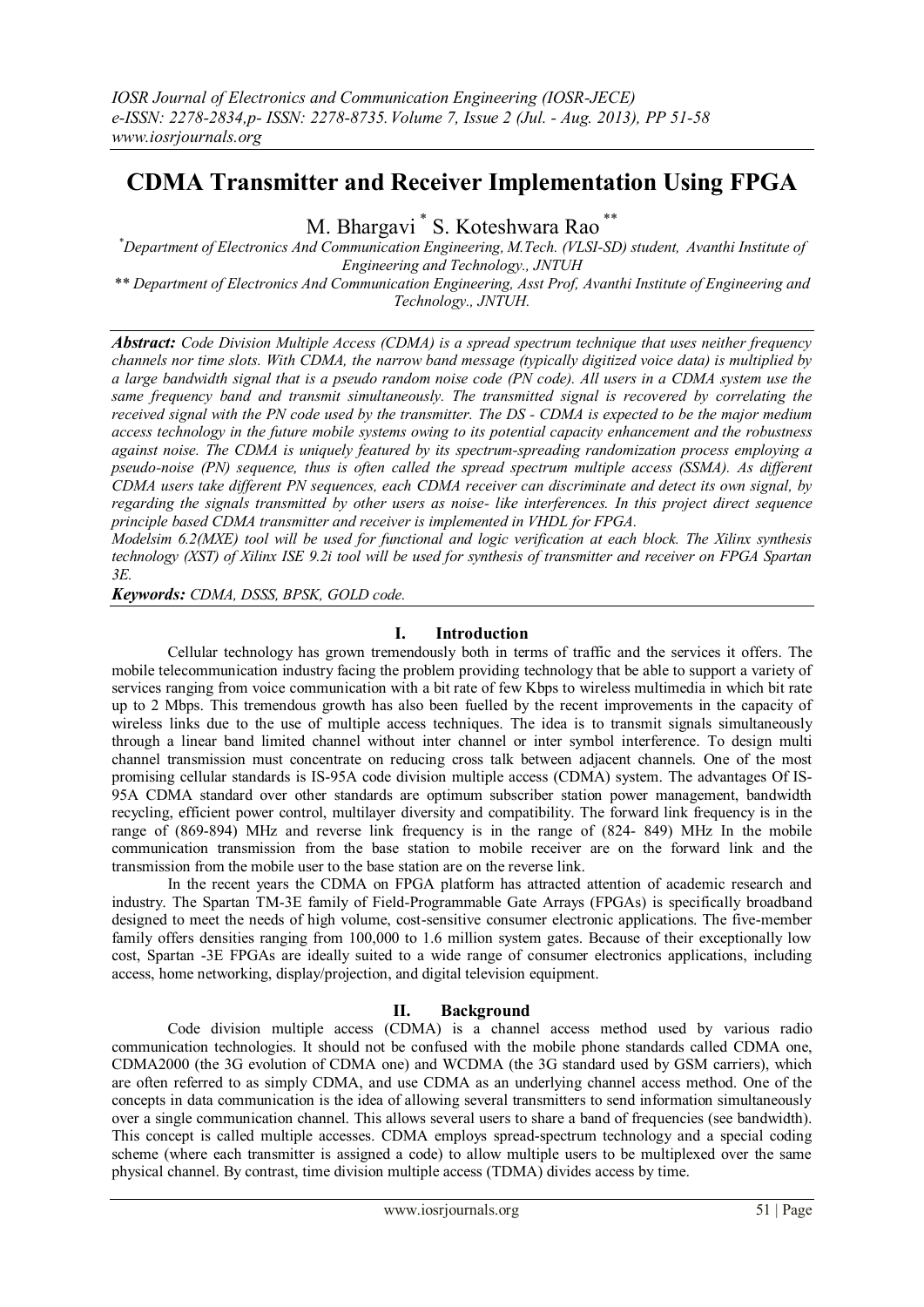# **CDMA Transmitter and Receiver Implementation Using FPGA**

M. Bhargavi \* S. Koteshwara Rao \*\*

*\*Department of Electronics And Communication Engineering, M.Tech. (VLSI-SD) student, Avanthi Institute of Engineering and Technology., JNTUH \*\* Department of Electronics And Communication Engineering, Asst Prof, Avanthi Institute of Engineering and* 

*Technology., JNTUH.*

*Abstract: Code Division Multiple Access (CDMA) is a spread spectrum technique that uses neither frequency channels nor time slots. With CDMA, the narrow band message (typically digitized voice data) is multiplied by a large bandwidth signal that is a pseudo random noise code (PN code). All users in a CDMA system use the same frequency band and transmit simultaneously. The transmitted signal is recovered by correlating the received signal with the PN code used by the transmitter. The DS - CDMA is expected to be the major medium access technology in the future mobile systems owing to its potential capacity enhancement and the robustness against noise. The CDMA is uniquely featured by its spectrum-spreading randomization process employing a pseudo-noise (PN) sequence, thus is often called the spread spectrum multiple access (SSMA). As different CDMA users take different PN sequences, each CDMA receiver can discriminate and detect its own signal, by regarding the signals transmitted by other users as noise- like interferences. In this project direct sequence principle based CDMA transmitter and receiver is implemented in VHDL for FPGA.*

*Modelsim 6.2(MXE) tool will be used for functional and logic verification at each block. The Xilinx synthesis technology (XST) of Xilinx ISE 9.2i tool will be used for synthesis of transmitter and receiver on FPGA Spartan 3E.*

*Keywords: CDMA, DSSS, BPSK, GOLD code.*

## **I. Introduction**

Cellular technology has grown tremendously both in terms of traffic and the services it offers. The mobile telecommunication industry facing the problem providing technology that be able to support a variety of services ranging from voice communication with a bit rate of few Kbps to wireless multimedia in which bit rate up to 2 Mbps. This tremendous growth has also been fuelled by the recent improvements in the capacity of wireless links due to the use of multiple access techniques. The idea is to transmit signals simultaneously through a linear band limited channel without inter channel or inter symbol interference. To design multi channel transmission must concentrate on reducing cross talk between adjacent channels. One of the most promising cellular standards is IS-95A code division multiple access (CDMA) system. The advantages Of IS-95A CDMA standard over other standards are optimum subscriber station power management, bandwidth recycling, efficient power control, multilayer diversity and compatibility. The forward link frequency is in the range of (869-894) MHz and reverse link frequency is in the range of (824- 849) MHz In the mobile communication transmission from the base station to mobile receiver are on the forward link and the transmission from the mobile user to the base station are on the reverse link.

In the recent years the CDMA on FPGA platform has attracted attention of academic research and industry. The Spartan TM-3E family of Field-Programmable Gate Arrays (FPGAs) is specifically broadband designed to meet the needs of high volume, cost-sensitive consumer electronic applications. The five-member family offers densities ranging from 100,000 to 1.6 million system gates. Because of their exceptionally low cost, Spartan -3E FPGAs are ideally suited to a wide range of consumer electronics applications, including access, home networking, display/projection, and digital television equipment.

# **II. Background**

Code division multiple access (CDMA) is a [channel access method](http://en.wikipedia.org/wiki/Channel_access_method) used by various radio communication technologies. It should not be confused with the [mobile phone standards](http://en.wikipedia.org/wiki/List_of_mobile_phone_standards) called [CDMA one,](http://en.wikipedia.org/wiki/IS-95) [CDMA2000](http://en.wikipedia.org/wiki/CDMA2000) (the [3G](http://en.wikipedia.org/wiki/3G) evolution of CDMA one) and [WCDMA](http://en.wikipedia.org/wiki/WCDMA) (the 3G standard used by [GSM](http://en.wikipedia.org/wiki/GSM) carriers), which are often referred to as simply CDMA, and use CDMA as an underlying channel access method. One of the concepts in data communication is the idea of allowing several transmitters to send information simultaneously over a single communication channel. This allows several users to share a band of frequencies (see [bandwidth\)](http://en.wikipedia.org/wiki/Bandwidth_%28signal_processing%29). This concept is called [multiple accesses.](http://en.wikipedia.org/wiki/Multiple_access) CDMA employs [spread-spectrum](http://en.wikipedia.org/wiki/Spread-spectrum) technology and a special coding scheme (where each transmitter is assigned a code) to allow multiple users to be multiplexed over the same physical channel. By contrast[, time division multiple access](http://en.wikipedia.org/wiki/Time_division_multiple_access) (TDMA) divides access by [time.](http://en.wikipedia.org/wiki/Time)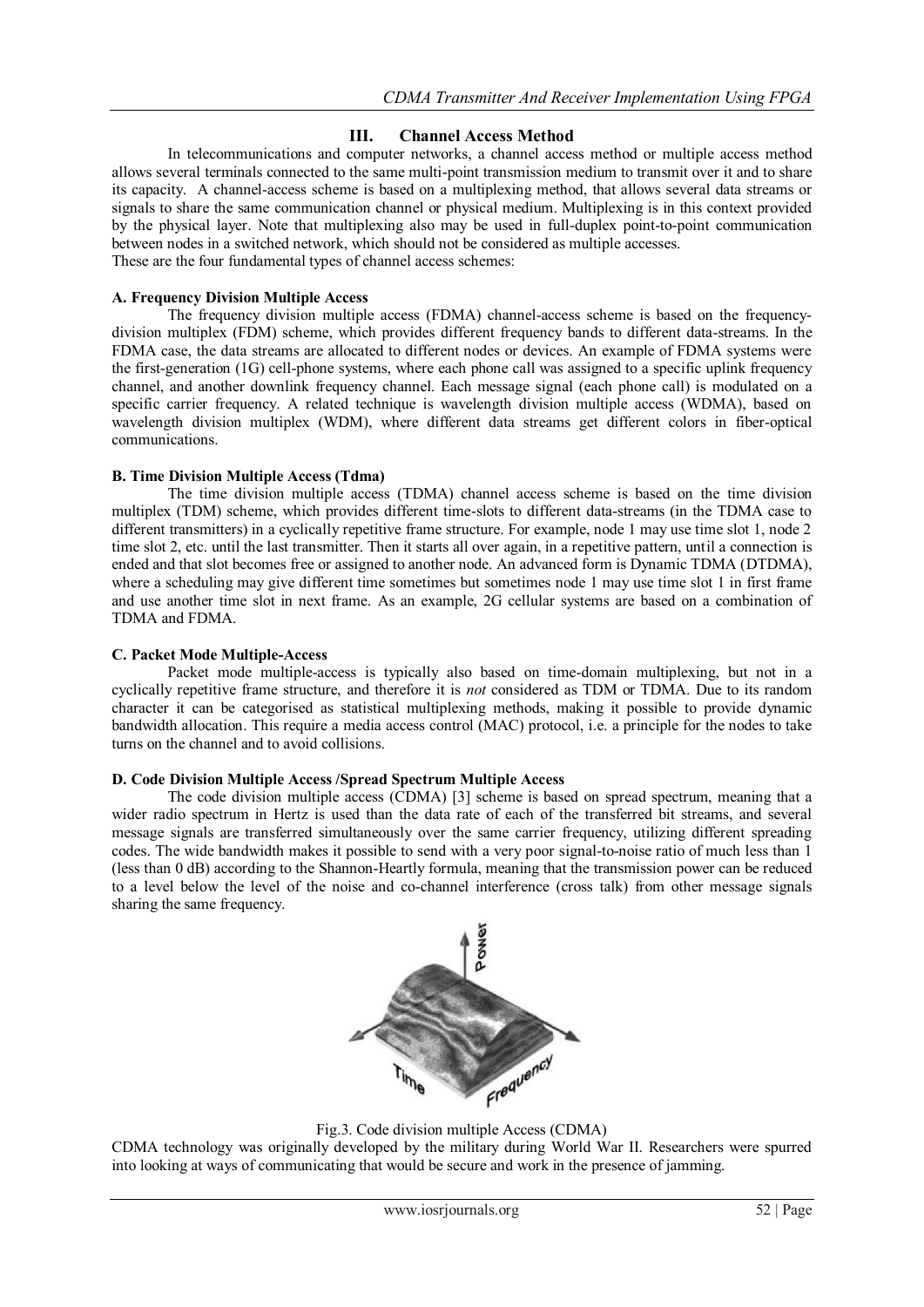# **III. Channel Access Method**

In [telecommunications](http://en.wikipedia.org/wiki/Telecommunication) and [computer networks,](http://en.wikipedia.org/wiki/Computer_networks) a channel access method or multiple access method allows several [terminals](http://en.wikipedia.org/wiki/Terminal_%28telecommunication%29) connected to the same multi-point [transmission medium](http://en.wikipedia.org/wiki/Transmission_medium) to transmit over it and to share its capacity. A channel-access scheme is based on a [multiplexing](http://en.wikipedia.org/wiki/Multiplexing) method, that allows several data streams or signals to share the same [communication channel](http://en.wikipedia.org/wiki/Communication_channel) or [physical medium.](http://en.wikipedia.org/wiki/Transmission_medium) Multiplexing is in this context provided by the [physical layer.](http://en.wikipedia.org/wiki/Physical_layer) Note that multiplexing also may be used in [full-duplex](http://en.wikipedia.org/wiki/Full-duplex) [point-to-point](http://en.wikipedia.org/wiki/Point-to-point_%28telecommunications%29) communication between nodes in a switched network, which should not be considered as multiple accesses. These are the four fundamental types of channel access schemes:

## **A. Frequency Division Multiple Access**

The [frequency division multiple access](http://en.wikipedia.org/wiki/Frequency_division_multiple_access) (FDMA) channel-access scheme is based on the [frequency](http://en.wikipedia.org/wiki/Frequency-division_multiplex)[division multiplex](http://en.wikipedia.org/wiki/Frequency-division_multiplex) (FDM) scheme, which provides different frequency bands to different data-streams. In the FDMA case, the data streams are allocated to different nodes or devices. An example of FDMA systems were the first-generation (1G) cell-phone systems, where each phone call was assigned to a specific uplink frequency channel, and another downlink frequency channel. Each message signal (each phone call) is [modulated](http://en.wikipedia.org/wiki/Modulation) on a specific [carrier frequency.](http://en.wikipedia.org/wiki/Carrier_wave) A related technique is wavelength division multiple access (WDMA), based on [wavelength division multiplex](http://en.wikipedia.org/wiki/Wavelength_division_multiplex) (WDM), where different data streams get different colors in fiber-optical communications.

## **B. Time Division Multiple Access (Tdma)**

The time [division multiple access](http://en.wikipedia.org/wiki/Time_division_multiple_access) (TDMA) channel access scheme is based on the [time division](http://en.wikipedia.org/wiki/Time_division_multiplex)  [multiplex](http://en.wikipedia.org/wiki/Time_division_multiplex) (TDM) scheme, which provides different time-slots to different data-streams (in the TDMA case to different transmitters) in a cyclically repetitive frame structure. For example, node 1 may use time slot 1, node 2 time slot 2, etc. until the last transmitter. Then it starts all over again, in a repetitive pattern, until a connection is ended and that slot becomes free or assigned to another node. An advanced form is Dynamic TDMA [\(DTDMA\)](http://en.wikipedia.org/w/index.php?title=DTDMA&action=edit&redlink=1), where a scheduling may give different time sometimes but sometimes node 1 may use time slot 1 in first frame and use another time slot in next frame. As an example, [2G](http://en.wikipedia.org/wiki/2G) cellular systems are based on a combination of TDMA and FDMA.

## **C. Packet Mode Multiple-Access**

[Packet mode](http://en.wikipedia.org/wiki/Packet_mode) multiple-access is typically also based on time-domain multiplexing, but not in a cyclically repetitive frame structure, and therefore it is *not* considered as TDM or TDMA. Due to its random character it can be categorised as [statistical multiplexing](http://en.wikipedia.org/wiki/Statistical_multiplexing) methods, making it possible to provide [dynamic](http://en.wikipedia.org/wiki/Dynamic_bandwidth_allocation)  [bandwidth allocation.](http://en.wikipedia.org/wiki/Dynamic_bandwidth_allocation) This require a [media access control](http://en.wikipedia.org/wiki/Media_access_control) (MAC) protocol, i.e. a principle for the nodes to take turns on the channel and to avoid collisions.

#### **D. Code Division Multiple Access /Spread Spectrum Multiple Access**

The [code division multiple access](http://en.wikipedia.org/wiki/Code_division_multiple_access) (CDMA) [3] scheme is based on [spread spectrum,](http://en.wikipedia.org/wiki/Spread_spectrum) meaning that a wider radio spectrum in Hertz is used than the data rate of each of the transferred bit streams, and several message signals are transferred simultaneously over the same carrier frequency, utilizing different spreading codes. The wide bandwidth makes it possible to send with a very poor signal-to-noise ratio of much less than 1 (less than 0 dB) according to the [Shannon-Heartly](http://en.wikipedia.org/w/index.php?title=Shannon-Heartly&action=edit&redlink=1) formula, meaning that the transmission power can be reduced to a level below the level of the noise and co-channel interference (cross talk) from other message signals sharing the same frequency.



Fig.3. Code division multiple Access (CDMA)

CDMA technology was originally developed by the military during World War II. Researchers were spurred into looking at ways of communicating that would be secure and work in the presence of jamming.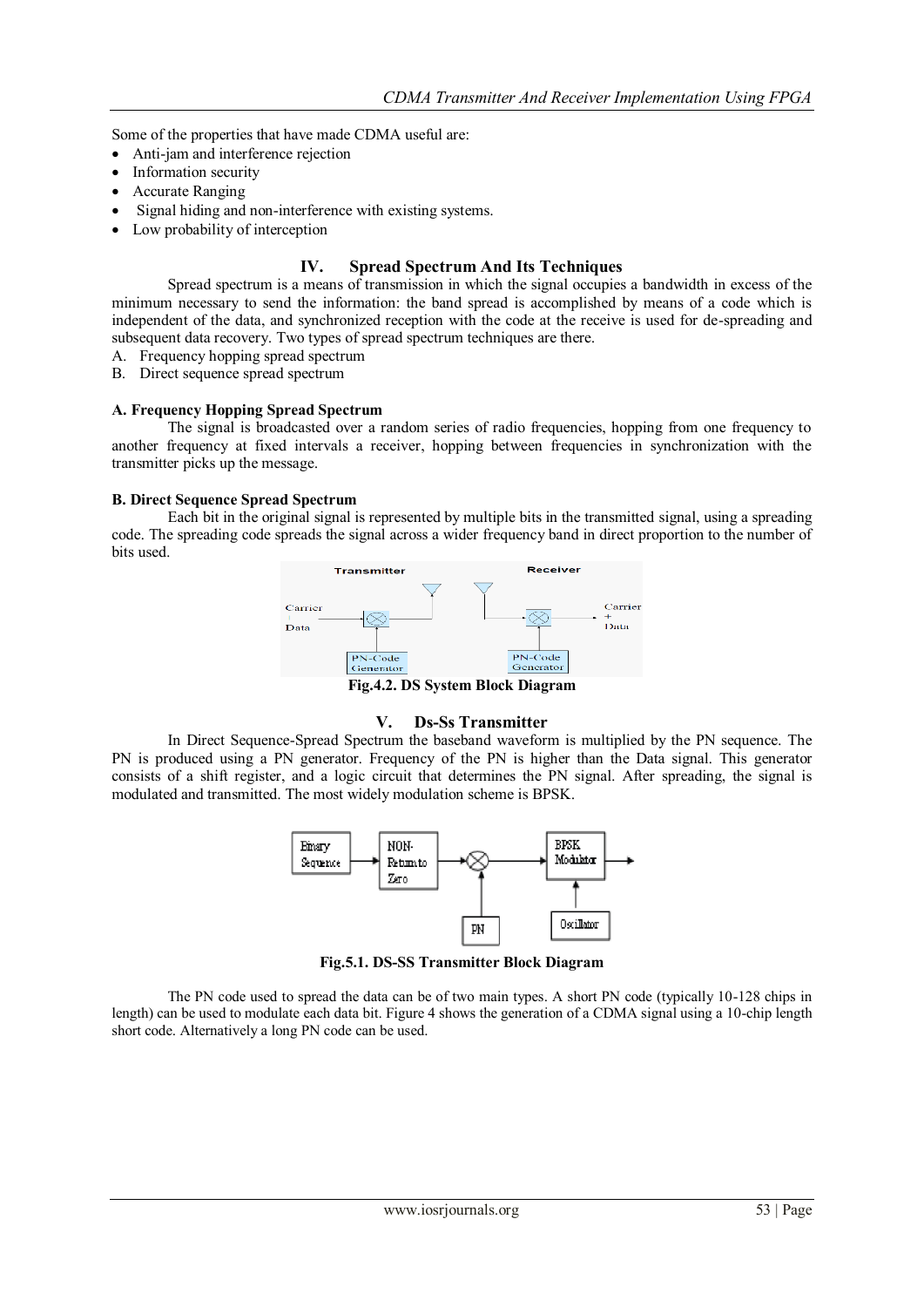Some of the properties that have made CDMA useful are:

- Anti-jam and interference rejection
- Information security
- Accurate Ranging
- Signal hiding and non-interference with existing systems.
- Low probability of interception

# **IV. Spread Spectrum And Its Techniques**

Spread spectrum is a means of transmission in which the signal occupies a bandwidth in excess of the minimum necessary to send the information: the band spread is accomplished by means of a code which is independent of the data, and synchronized reception with the code at the receive is used for de-spreading and subsequent data recovery. Two types of spread spectrum techniques are there.

- A. Frequency hopping spread spectrum
- B. Direct sequence spread spectrum

## **A. Frequency Hopping Spread Spectrum**

The signal is broadcasted over a random series of radio frequencies, hopping from one frequency to another frequency at fixed intervals a receiver, hopping between frequencies in synchronization with the transmitter picks up the message.

## **B. Direct Sequence Spread Spectrum**

Each bit in the original signal is represented by multiple bits in the transmitted signal, using a spreading code. The spreading code spreads the signal across a wider frequency band in direct proportion to the number of bits used.



**Fig.4.2. DS System Block Diagram**

#### **V. Ds-Ss Transmitter**

In Direct Sequence-Spread Spectrum the baseband waveform is multiplied by the PN sequence. The PN is produced using a PN generator. Frequency of the PN is higher than the Data signal. This generator consists of a shift register, and a logic circuit that determines the PN signal. After spreading, the signal is modulated and transmitted. The most widely modulation scheme is BPSK.



**Fig.5.1. DS-SS Transmitter Block Diagram**

The PN code used to spread the data can be of two main types. A short PN code (typically 10-128 chips in length) can be used to modulate each data bit. Figure 4 shows the generation of a CDMA signal using a 10-chip length short code. Alternatively a long PN code can be used.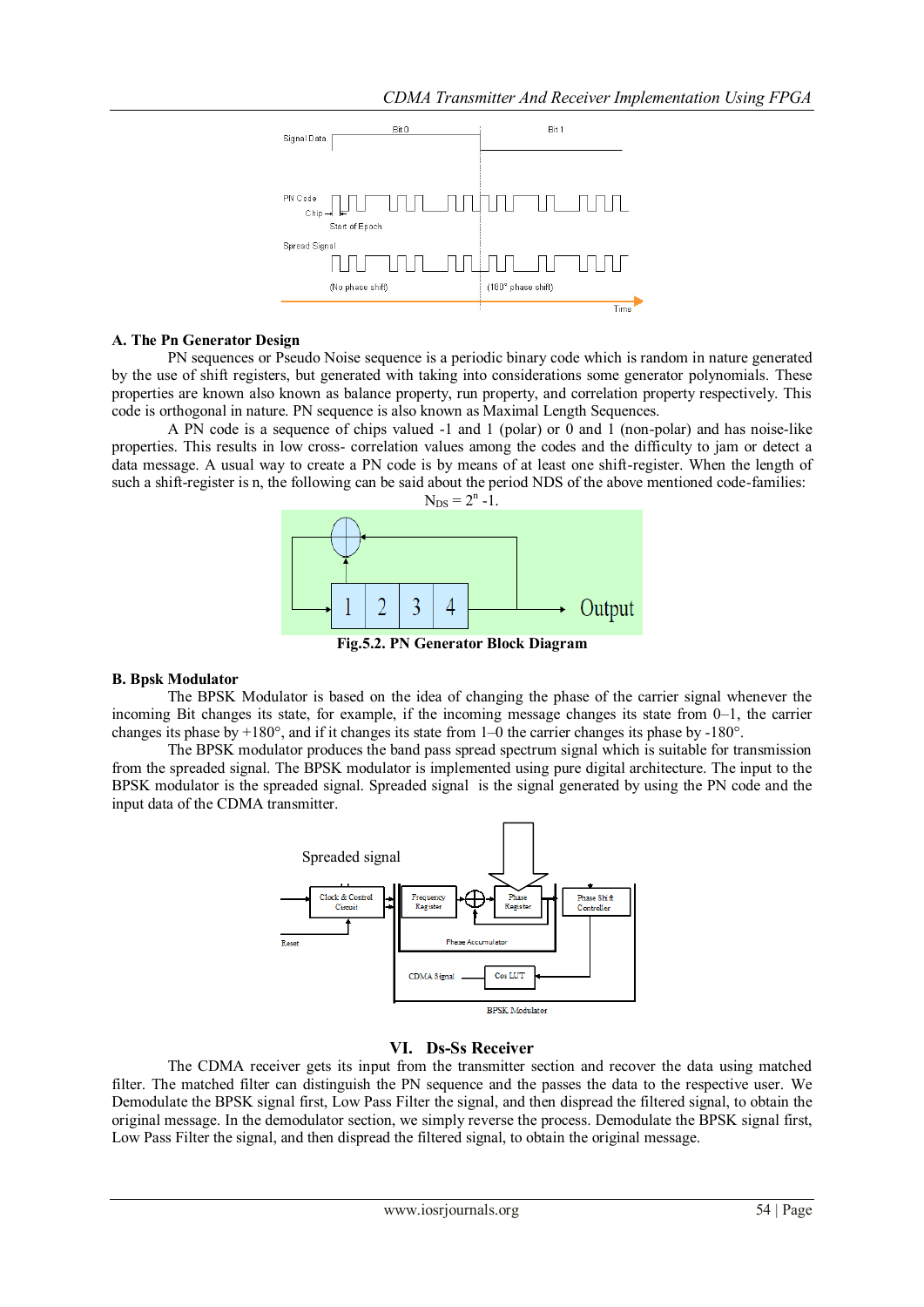

## **A. The Pn Generator Design**

PN sequences or Pseudo Noise sequence is a periodic binary code which is random in nature generated by the use of shift registers, but generated with taking into considerations some generator polynomials. These properties are known also known as balance property, run property, and correlation property respectively. This code is orthogonal in nature. PN sequence is also known as Maximal Length Sequences.

A PN code is a sequence of chips valued -1 and 1 (polar) or 0 and 1 (non-polar) and has noise-like properties. This results in low cross- correlation values among the codes and the difficulty to jam or detect a data message. A usual way to create a PN code is by means of at least one shift-register. When the length of such a shift-register is n, the following can be said about the period NDS of the above mentioned code-families:





**Fig.5.2. PN Generator Block Diagram**

# **B. Bpsk Modulator**

The BPSK Modulator is based on the idea of changing the phase of the carrier signal whenever the incoming Bit changes its state, for example, if the incoming message changes its state from 0–1, the carrier changes its phase by  $+180^\circ$ , and if it changes its state from 1–0 the carrier changes its phase by  $-180^\circ$ .

The BPSK modulator produces the band pass spread spectrum signal which is suitable for transmission from the spreaded signal. The BPSK modulator is implemented using pure digital architecture. The input to the BPSK modulator is the spreaded signal. Spreaded signal is the signal generated by using the PN code and the input data of the CDMA transmitter.



# **VI. Ds-Ss Receiver**

The CDMA receiver gets its input from the transmitter section and recover the data using matched filter. The matched filter can distinguish the PN sequence and the passes the data to the respective user. We Demodulate the BPSK signal first, Low Pass Filter the signal, and then dispread the filtered signal, to obtain the original message. In the demodulator section, we simply reverse the process. Demodulate the BPSK signal first, Low Pass Filter the signal, and then dispread the filtered signal, to obtain the original message.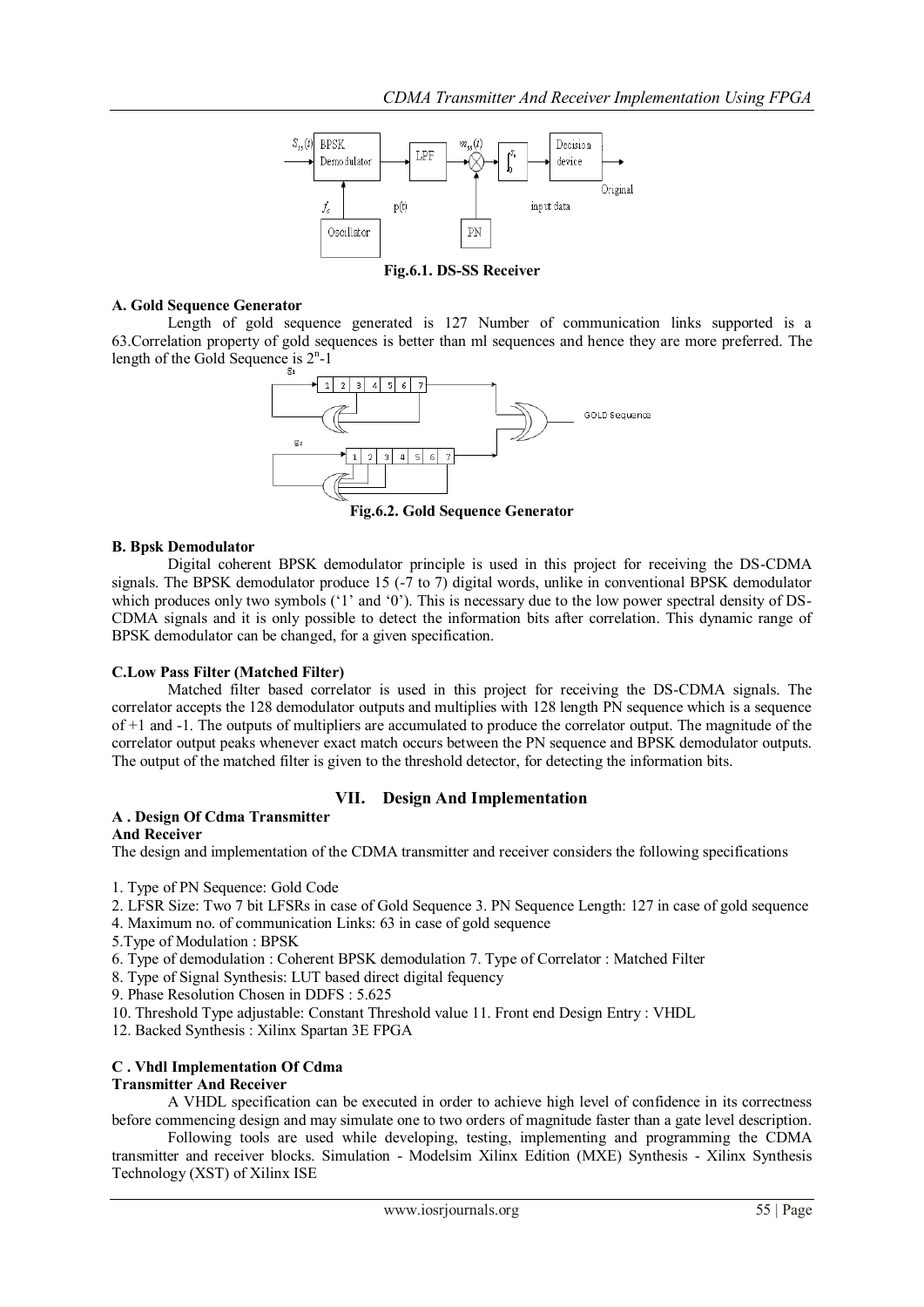

**Fig.6.1. DS-SS Receiver**

## **A. Gold Sequence Generator**

Length of gold sequence generated is 127 Number of communication links supported is a 63.Correlation property of gold sequences is better than ml sequences and hence they are more preferred. The length of the Gold Sequence is  $2<sup>n</sup> - 1$ 



**Fig.6.2. Gold Sequence Generator**

## **B. Bpsk Demodulator**

Digital coherent BPSK demodulator principle is used in this project for receiving the DS-CDMA signals. The BPSK demodulator produce 15 (-7 to 7) digital words, unlike in conventional BPSK demodulator which produces only two symbols ( $1'$  and  $0'$ ). This is necessary due to the low power spectral density of DS-CDMA signals and it is only possible to detect the information bits after correlation. This dynamic range of BPSK demodulator can be changed, for a given specification.

# **C.Low Pass Filter (Matched Filter)**

Matched filter based correlator is used in this project for receiving the DS-CDMA signals. The correlator accepts the 128 demodulator outputs and multiplies with 128 length PN sequence which is a sequence of +1 and -1. The outputs of multipliers are accumulated to produce the correlator output. The magnitude of the correlator output peaks whenever exact match occurs between the PN sequence and BPSK demodulator outputs. The output of the matched filter is given to the threshold detector, for detecting the information bits.

# **VII. Design And Implementation**

# **A . Design Of Cdma Transmitter**

## **And Receiver**

The design and implementation of the CDMA transmitter and receiver considers the following specifications

1. Type of PN Sequence: Gold Code

2. LFSR Size: Two 7 bit LFSRs in case of Gold Sequence 3. PN Sequence Length: 127 in case of gold sequence

- 4. Maximum no. of communication Links: 63 in case of gold sequence
- 5.Type of Modulation : BPSK

6. Type of demodulation : Coherent BPSK demodulation 7. Type of Correlator : Matched Filter

8. Type of Signal Synthesis: LUT based direct digital fequency

9. Phase Resolution Chosen in DDFS : 5.625

10. Threshold Type adjustable: Constant Threshold value 11. Front end Design Entry : VHDL

12. Backed Synthesis : Xilinx Spartan 3E FPGA

# **C . Vhdl Implementation Of Cdma**

#### **Transmitter And Receiver**

A VHDL specification can be executed in order to achieve high level of confidence in its correctness before commencing design and may simulate one to two orders of magnitude faster than a gate level description.

Following tools are used while developing, testing, implementing and programming the CDMA transmitter and receiver blocks. Simulation - Modelsim Xilinx Edition (MXE) Synthesis - Xilinx Synthesis Technology (XST) of Xilinx ISE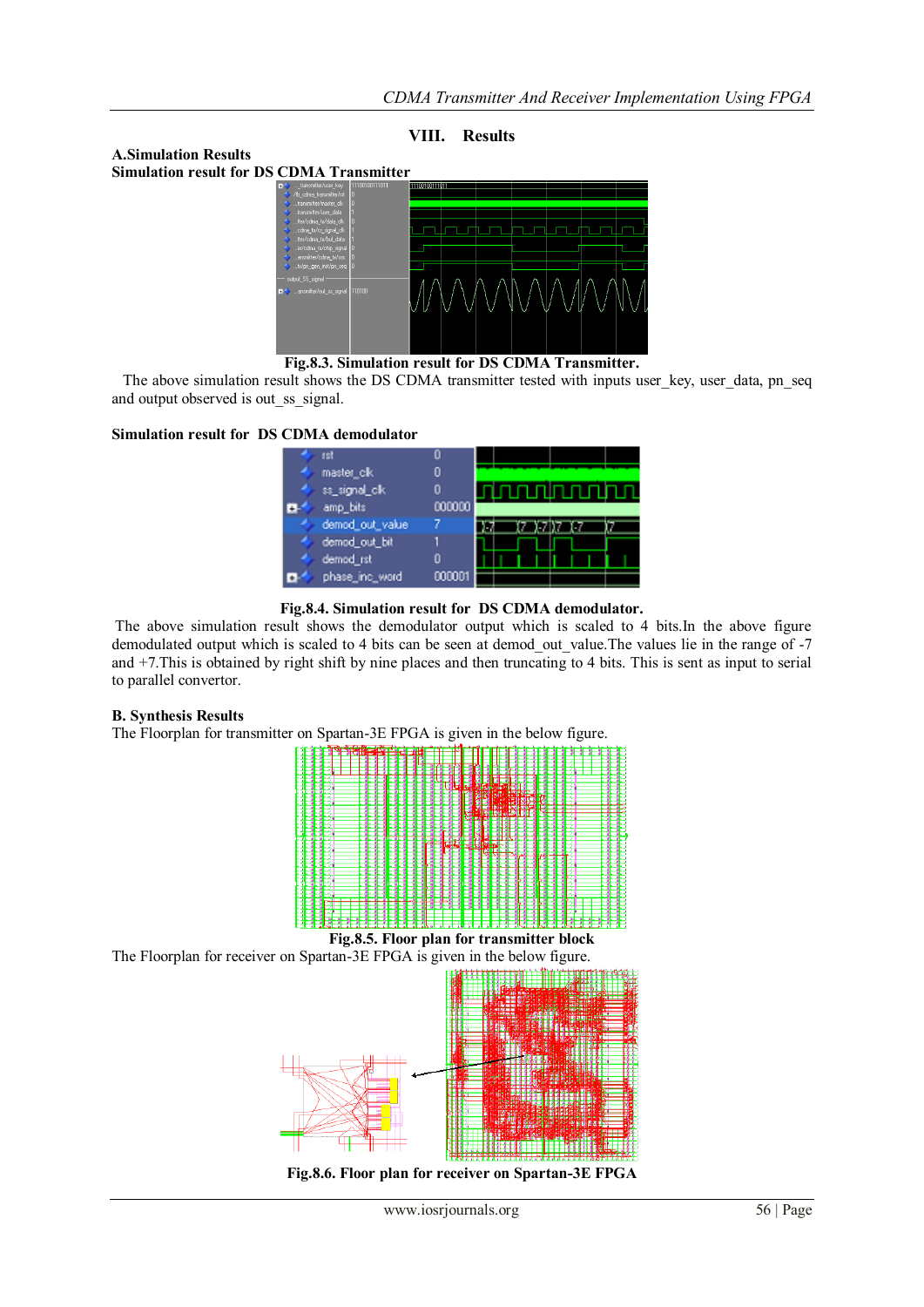## **VIII. Results**

**A.Simulation Results Simulation result for DS CDMA Transmitter**



**Fig.8.3. Simulation result for DS CDMA Transmitter.**

The above simulation result shows the DS CDMA transmitter tested with inputs user\_key, user\_data, pn\_seq and output observed is out\_ss\_signal.

#### **Simulation result for DS CDMA demodulator**



**Fig.8.4. Simulation result for DS CDMA demodulator.**

The above simulation result shows the demodulator output which is scaled to 4 bits.In the above figure demodulated output which is scaled to 4 bits can be seen at demod\_out\_value. The values lie in the range of -7 and +7.This is obtained by right shift by nine places and then truncating to 4 bits. This is sent as input to serial to parallel convertor.

#### **B. Synthesis Results**

The Floorplan for transmitter on Spartan-3E FPGA is given in the below figure.



**Fig.8.5. Floor plan for transmitter block**

The Floorplan for receiver on Spartan-3E FPGA is given in the below figure.



**Fig.8.6. Floor plan for receiver on Spartan-3E FPGA**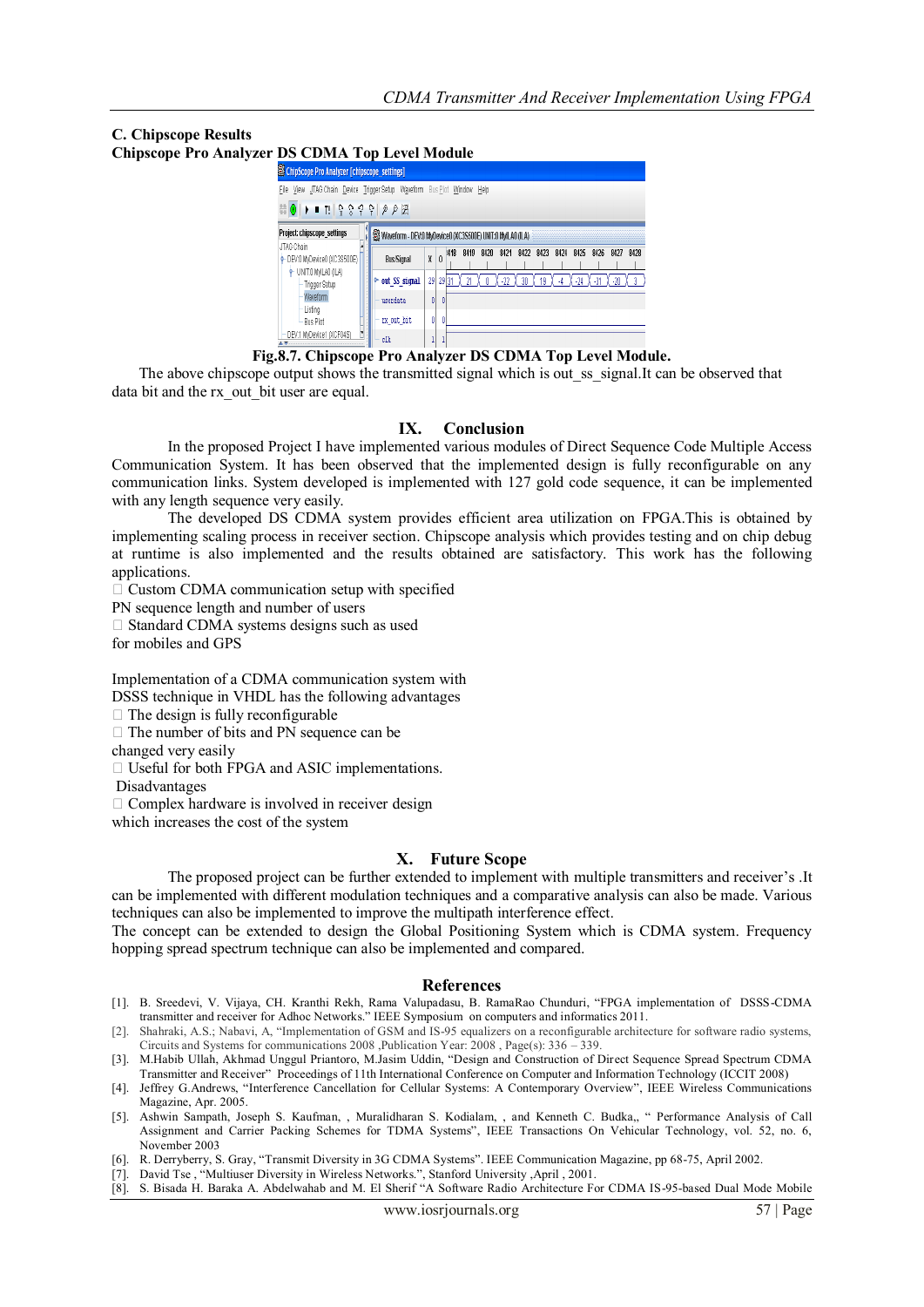# **C. Chipscope Results**

**Chipscope Pro Analyzer DS CDMA Top Level Module** 

| ChipScope Pro Analyzer [chipscope_settings]                                                                                                                                                                                                                                                                                                                                                                                                                                                                                                                              |                                                           |    |          |              |      |       |      |      |      |       |       |       |      |
|--------------------------------------------------------------------------------------------------------------------------------------------------------------------------------------------------------------------------------------------------------------------------------------------------------------------------------------------------------------------------------------------------------------------------------------------------------------------------------------------------------------------------------------------------------------------------|-----------------------------------------------------------|----|----------|--------------|------|-------|------|------|------|-------|-------|-------|------|
| Waveform<br>File<br>View JTAG Chain Device Trigger Setup<br>Bus Plot<br>Window<br>Help<br>$\mathbb{E}[\mathbb{Q} \otimes \mathbb{Q} \otimes \mathbb{Q} \otimes \mathbb{Q} \otimes \mathbb{Z} \otimes \mathbb{Z} \otimes \mathbb{Z} \otimes \mathbb{Z} \otimes \mathbb{Z} \otimes \mathbb{Z} \otimes \mathbb{Z} \otimes \mathbb{Z} \otimes \mathbb{Z} \otimes \mathbb{Z} \otimes \mathbb{Z} \otimes \mathbb{Z} \otimes \mathbb{Z} \otimes \mathbb{Z} \otimes \mathbb{Z} \otimes \mathbb{Z} \otimes \mathbb{Z} \otimes \mathbb{Z} \otimes \mathbb{Z} \otimes \mathbb{Z} \$ |                                                           |    |          |              |      |       |      |      |      |       |       |       |      |
| Project: chipscope settings                                                                                                                                                                                                                                                                                                                                                                                                                                                                                                                                              | Waveform - DEV:0 MyDevice0 (XC3S500E) UNIT:0 MyILA0 (ILA) |    |          |              |      |       |      |      |      |       |       |       |      |
| JTAG Chain<br>P-DEV.0 MyDevice0 (XC3S500E)<br>$+$ UNIT:0 MyILA0 (ILA)<br>Trigger Setup<br><b>Waveform</b><br>Listina<br>Bus Plot                                                                                                                                                                                                                                                                                                                                                                                                                                         | <b>Bus/Signal</b>                                         | X  | $\theta$ | 8419<br>1418 | 8420 | 8421  | 8422 | 8423 | 8424 | 8425  | 8426  | 8427  | 8428 |
|                                                                                                                                                                                                                                                                                                                                                                                                                                                                                                                                                                          | ← out SS signal                                           | 29 |          | 29 31        |      | $-22$ | 30   | 19   | -4   | $-24$ | $-31$ | $-20$ |      |
|                                                                                                                                                                                                                                                                                                                                                                                                                                                                                                                                                                          | userdata                                                  | 0  |          |              |      |       |      |      |      |       |       |       |      |
|                                                                                                                                                                                                                                                                                                                                                                                                                                                                                                                                                                          | rx out bit                                                | 0  |          | O            |      |       |      |      |      |       |       |       |      |
| DEV:1 MyDevice1 (XCF04S)                                                                                                                                                                                                                                                                                                                                                                                                                                                                                                                                                 | clk                                                       |    |          |              |      |       |      |      |      |       |       |       |      |

**Fig.8.7. Chipscope Pro Analyzer DS CDMA Top Level Module.** 

The above chipscope output shows the transmitted signal which is out as signal.It can be observed that data bit and the rx out bit user are equal.

## **IX. Conclusion**

In the proposed Project I have implemented various modules of Direct Sequence Code Multiple Access Communication System. It has been observed that the implemented design is fully reconfigurable on any communication links. System developed is implemented with 127 gold code sequence, it can be implemented with any length sequence very easily.

The developed DS CDMA system provides efficient area utilization on FPGA.This is obtained by implementing scaling process in receiver section. Chipscope analysis which provides testing and on chip debug at runtime is also implemented and the results obtained are satisfactory. This work has the following applications.

 $\Box$  Custom CDMA communication setup with specified

PN sequence length and number of users

 $\Box$  Standard CDMA systems designs such as used for mobiles and GPS

Implementation of a CDMA communication system with DSSS technique in VHDL has the following advantages

 $\Box$  The design is fully reconfigurable

 $\Box$  The number of bits and PN sequence can be

changed very easily

Useful for both FPGA and ASIC implementations.

Disadvantages

 $\Box$  Complex hardware is involved in receiver design

which increases the cost of the system

# **X. Future Scope**

The proposed project can be further extended to implement with multiple transmitters and receiver"s .It can be implemented with different modulation techniques and a comparative analysis can also be made. Various techniques can also be implemented to improve the multipath interference effect.

The concept can be extended to design the Global Positioning System which is CDMA system. Frequency hopping spread spectrum technique can also be implemented and compared.

#### **References**

- [1]. B. Sreedevi, V. Vijaya, CH. Kranthi Rekh, Rama Valupadasu, B. RamaRao Chunduri, "FPGA implementation of DSSS-CDMA transmitter and receiver for Adhoc Networks." IEEE Symposium on computers and informatics 2011.
- [2]. Shahraki, A.S.; Nabavi, A, "Implementation of GSM and IS-95 equalizers on a reconfigurable architecture for software radio systems, Circuits and Systems for communications 2008 ,Publication Year: 2008 , Page(s): 336 – 339.
- [3]. M.Habib Ullah, Akhmad Unggul Priantoro, M.Jasim Uddin, "Design and Construction of Direct Sequence Spread Spectrum CDMA Transmitter and Receiver" Proceedings of 11th International Conference on Computer and Information Technology (ICCIT 2008)
- [4]. Jeffrey G.Andrews, "[Interference Cancellation for Cellular Systems: A Contemporary Overview](http://users.ece.utexas.edu/~jandrews/publications/InterferenceCancTut.pdf)", IEEE Wireless Communications Magazine, Apr. 2005.
- [5]. Ashwin Sampath, Joseph S. Kaufman, , Muralidharan S. Kodialam, , and Kenneth C. Budka,, " Performance Analysis of Call Assignment and Carrier Packing Schemes for TDMA Systems", IEEE Transactions On Vehicular Technology, vol. 52, no. 6, November 2003
- [6]. R. Derryberry, S. Gray, "[Transmit Diversity in 3G CDMA Systems](http://www.ece.utexas.edu/wncg/cdmarefs/td_cdma.pdf)". IEEE Communication Magazine, pp 68-75, April 2002.
- [7]. David Tse , "[Multiuser Diversity in Wireless Networks.](http://www.ece.utexas.edu/wncg/cdmarefs/Tse_Sildes.pdf)", Stanford University ,April , 2001.
- [8]. S. Bisada H. Baraka A. Abdelwahab and M. El Sherif "A Software Radio Architecture For CDMA IS-95-based Dual Mode Mobile